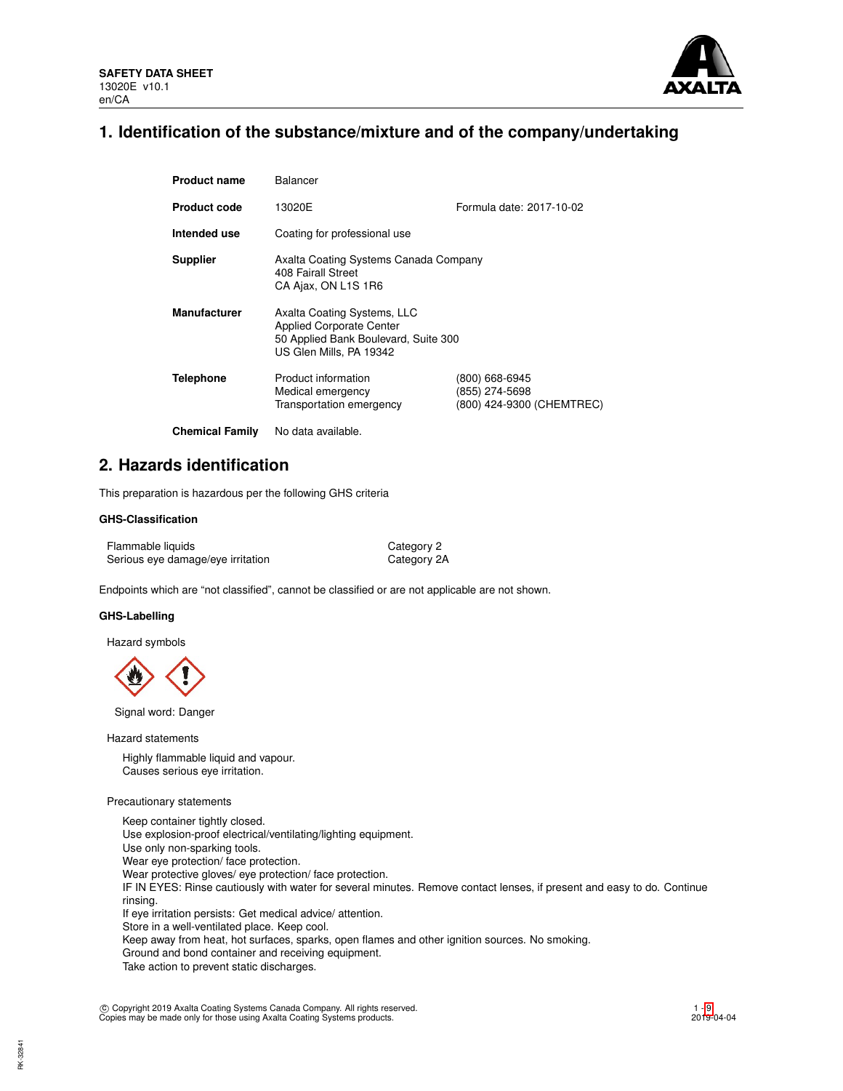

# **1. Identification of the substance/mixture and of the company/undertaking**

| <b>Product name</b>    | Balancer                                                                                                                          |                                                               |  |  |  |
|------------------------|-----------------------------------------------------------------------------------------------------------------------------------|---------------------------------------------------------------|--|--|--|
| <b>Product code</b>    | 13020E                                                                                                                            | Formula date: 2017-10-02                                      |  |  |  |
| Intended use           | Coating for professional use                                                                                                      |                                                               |  |  |  |
| <b>Supplier</b>        | Axalta Coating Systems Canada Company<br>408 Fairall Street<br>CA Ajax, ON L1S 1R6                                                |                                                               |  |  |  |
| <b>Manufacturer</b>    | Axalta Coating Systems, LLC<br><b>Applied Corporate Center</b><br>50 Applied Bank Boulevard, Suite 300<br>US Glen Mills, PA 19342 |                                                               |  |  |  |
| <b>Telephone</b>       | Product information<br>Medical emergency<br>Transportation emergency                                                              | (800) 668-6945<br>(855) 274-5698<br>(800) 424-9300 (CHEMTREC) |  |  |  |
| <b>Chemical Family</b> | No data available.                                                                                                                |                                                               |  |  |  |

# **2. Hazards identification**

This preparation is hazardous per the following GHS criteria

## **GHS-Classification**

Flammable liquids **Category 2** Serious eye damage/eye irritation Category 2A

Endpoints which are "not classified", cannot be classified or are not applicable are not shown.

## **GHS-Labelling**

Hazard symbols



Signal word: Danger

Hazard statements

Highly flammable liquid and vapour. Causes serious eye irritation.

### Precautionary statements

Keep container tightly closed. Use explosion-proof electrical/ventilating/lighting equipment. Use only non-sparking tools. Wear eye protection/ face protection. Wear protective gloves/ eye protection/ face protection. IF IN EYES: Rinse cautiously with water for several minutes. Remove contact lenses, if present and easy to do. Continue rinsing. If eye irritation persists: Get medical advice/ attention. Store in a well-ventilated place. Keep cool. Keep away from heat, hot surfaces, sparks, open flames and other ignition sources. No smoking. Ground and bond container and receiving equipment. Take action to prevent static discharges.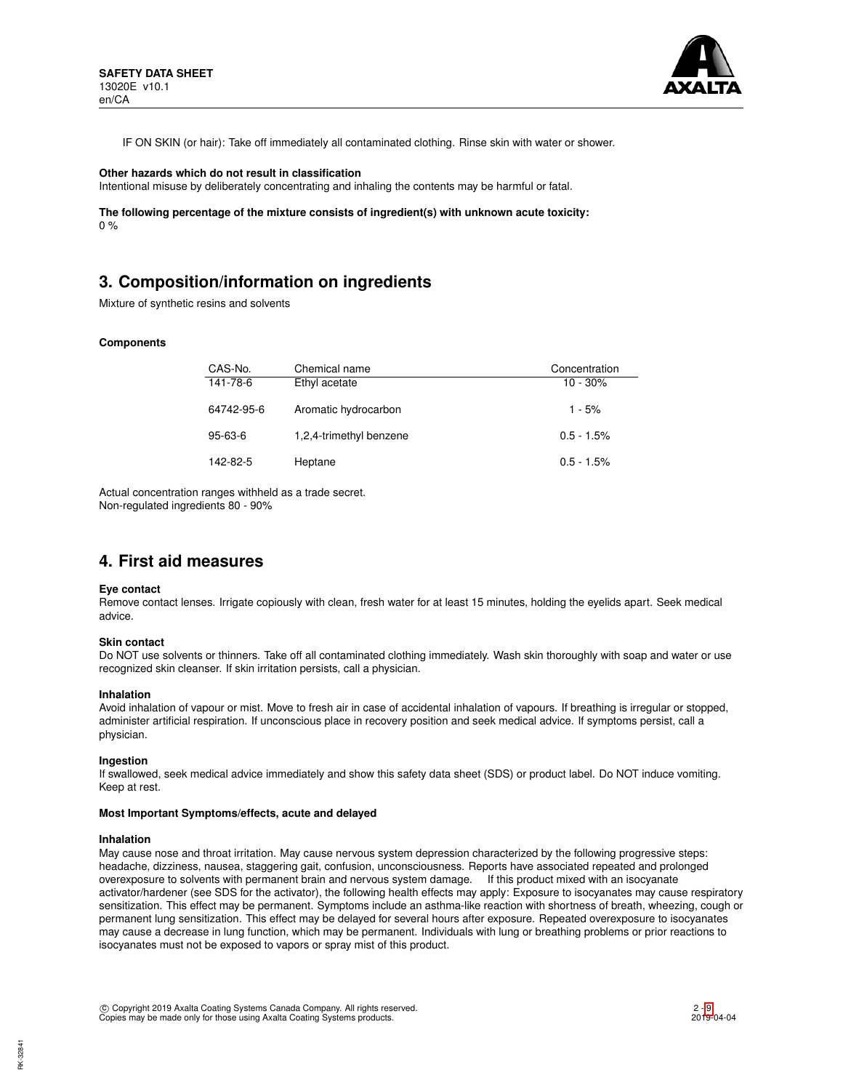

IF ON SKIN (or hair): Take off immediately all contaminated clothing. Rinse skin with water or shower.

### **Other hazards which do not result in classification**

Intentional misuse by deliberately concentrating and inhaling the contents may be harmful or fatal.

**The following percentage of the mixture consists of ingredient(s) with unknown acute toxicity:**  $0 %$ 

# **3. Composition/information on ingredients**

Mixture of synthetic resins and solvents

### **Components**

| CAS-No.    | Chemical name           | Concentration |
|------------|-------------------------|---------------|
| 141-78-6   | Ethyl acetate           | $10 - 30%$    |
| 64742-95-6 | Aromatic hydrocarbon    | $1 - 5%$      |
| 95-63-6    | 1,2,4-trimethyl benzene | $0.5 - 1.5\%$ |
| 142-82-5   | Heptane                 | $0.5 - 1.5\%$ |

Actual concentration ranges withheld as a trade secret. Non-regulated ingredients 80 - 90%

## **4. First aid measures**

### **Eye contact**

Remove contact lenses. Irrigate copiously with clean, fresh water for at least 15 minutes, holding the eyelids apart. Seek medical advice.

### **Skin contact**

Do NOT use solvents or thinners. Take off all contaminated clothing immediately. Wash skin thoroughly with soap and water or use recognized skin cleanser. If skin irritation persists, call a physician.

### **Inhalation**

Avoid inhalation of vapour or mist. Move to fresh air in case of accidental inhalation of vapours. If breathing is irregular or stopped, administer artificial respiration. If unconscious place in recovery position and seek medical advice. If symptoms persist, call a physician.

### **Ingestion**

If swallowed, seek medical advice immediately and show this safety data sheet (SDS) or product label. Do NOT induce vomiting. Keep at rest.

### **Most Important Symptoms/effects, acute and delayed**

### **Inhalation**

May cause nose and throat irritation. May cause nervous system depression characterized by the following progressive steps: headache, dizziness, nausea, staggering gait, confusion, unconsciousness. Reports have associated repeated and prolonged overexposure to solvents with permanent brain and nervous system damage. If this product mixed with an isocyanate activator/hardener (see SDS for the activator), the following health effects may apply: Exposure to isocyanates may cause respiratory sensitization. This effect may be permanent. Symptoms include an asthma-like reaction with shortness of breath, wheezing, cough or permanent lung sensitization. This effect may be delayed for several hours after exposure. Repeated overexposure to isocyanates may cause a decrease in lung function, which may be permanent. Individuals with lung or breathing problems or prior reactions to isocyanates must not be exposed to vapors or spray mist of this product.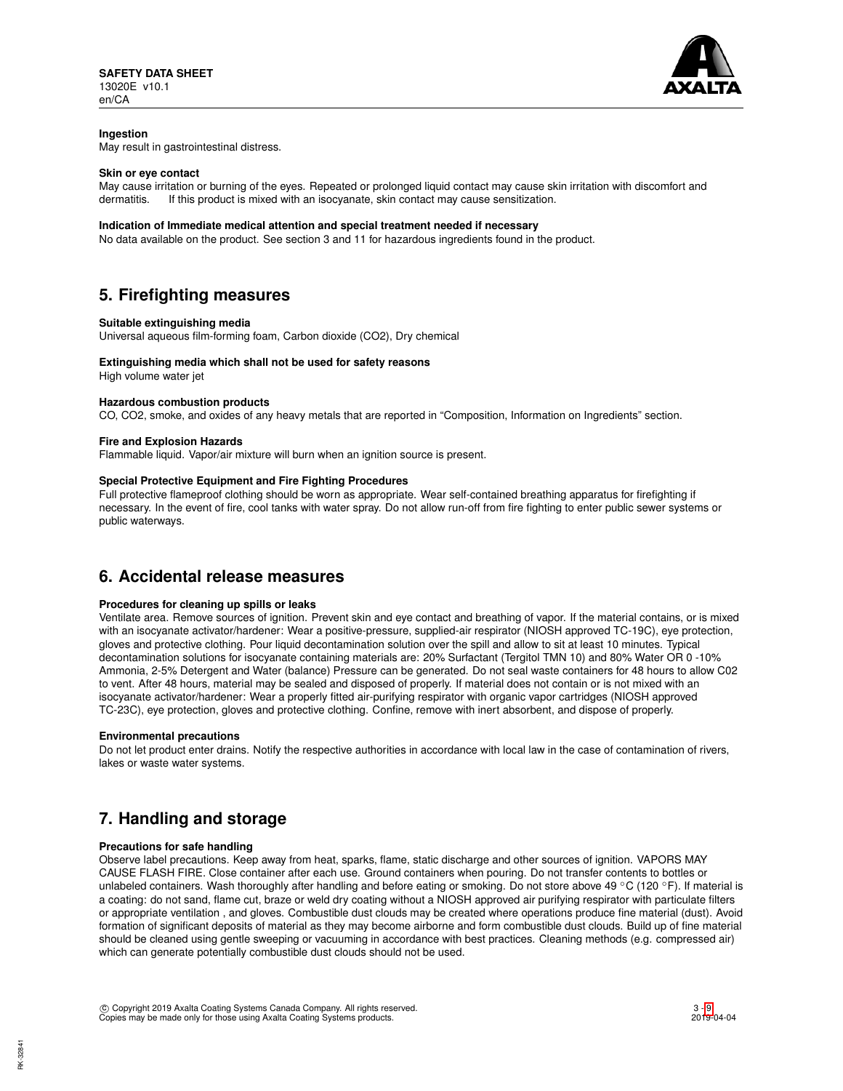

## **Ingestion**

May result in gastrointestinal distress.

### **Skin or eye contact**

May cause irritation or burning of the eyes. Repeated or prolonged liquid contact may cause skin irritation with discomfort and dermatitis. If this product is mixed with an isocyanate, skin contact may cause sensitization.

### **Indication of Immediate medical attention and special treatment needed if necessary**

No data available on the product. See section 3 and 11 for hazardous ingredients found in the product.

# **5. Firefighting measures**

### **Suitable extinguishing media**

Universal aqueous film-forming foam, Carbon dioxide (CO2), Dry chemical

### **Extinguishing media which shall not be used for safety reasons**

High volume water jet

### **Hazardous combustion products**

CO, CO2, smoke, and oxides of any heavy metals that are reported in "Composition, Information on Ingredients" section.

### **Fire and Explosion Hazards**

Flammable liquid. Vapor/air mixture will burn when an ignition source is present.

## **Special Protective Equipment and Fire Fighting Procedures**

Full protective flameproof clothing should be worn as appropriate. Wear self-contained breathing apparatus for firefighting if necessary. In the event of fire, cool tanks with water spray. Do not allow run-off from fire fighting to enter public sewer systems or public waterways.

# **6. Accidental release measures**

## **Procedures for cleaning up spills or leaks**

Ventilate area. Remove sources of ignition. Prevent skin and eye contact and breathing of vapor. If the material contains, or is mixed with an isocyanate activator/hardener: Wear a positive-pressure, supplied-air respirator (NIOSH approved TC-19C), eye protection, gloves and protective clothing. Pour liquid decontamination solution over the spill and allow to sit at least 10 minutes. Typical decontamination solutions for isocyanate containing materials are: 20% Surfactant (Tergitol TMN 10) and 80% Water OR 0 -10% Ammonia, 2-5% Detergent and Water (balance) Pressure can be generated. Do not seal waste containers for 48 hours to allow C02 to vent. After 48 hours, material may be sealed and disposed of properly. If material does not contain or is not mixed with an isocyanate activator/hardener: Wear a properly fitted air-purifying respirator with organic vapor cartridges (NIOSH approved TC-23C), eye protection, gloves and protective clothing. Confine, remove with inert absorbent, and dispose of properly.

### **Environmental precautions**

Do not let product enter drains. Notify the respective authorities in accordance with local law in the case of contamination of rivers, lakes or waste water systems.

# **7. Handling and storage**

### **Precautions for safe handling**

Observe label precautions. Keep away from heat, sparks, flame, static discharge and other sources of ignition. VAPORS MAY CAUSE FLASH FIRE. Close container after each use. Ground containers when pouring. Do not transfer contents to bottles or unlabeled containers. Wash thoroughly after handling and before eating or smoking. Do not store above 49 °C (120 °F). If material is a coating: do not sand, flame cut, braze or weld dry coating without a NIOSH approved air purifying respirator with particulate filters or appropriate ventilation , and gloves. Combustible dust clouds may be created where operations produce fine material (dust). Avoid formation of significant deposits of material as they may become airborne and form combustible dust clouds. Build up of fine material should be cleaned using gentle sweeping or vacuuming in accordance with best practices. Cleaning methods (e.g. compressed air) which can generate potentially combustible dust clouds should not be used.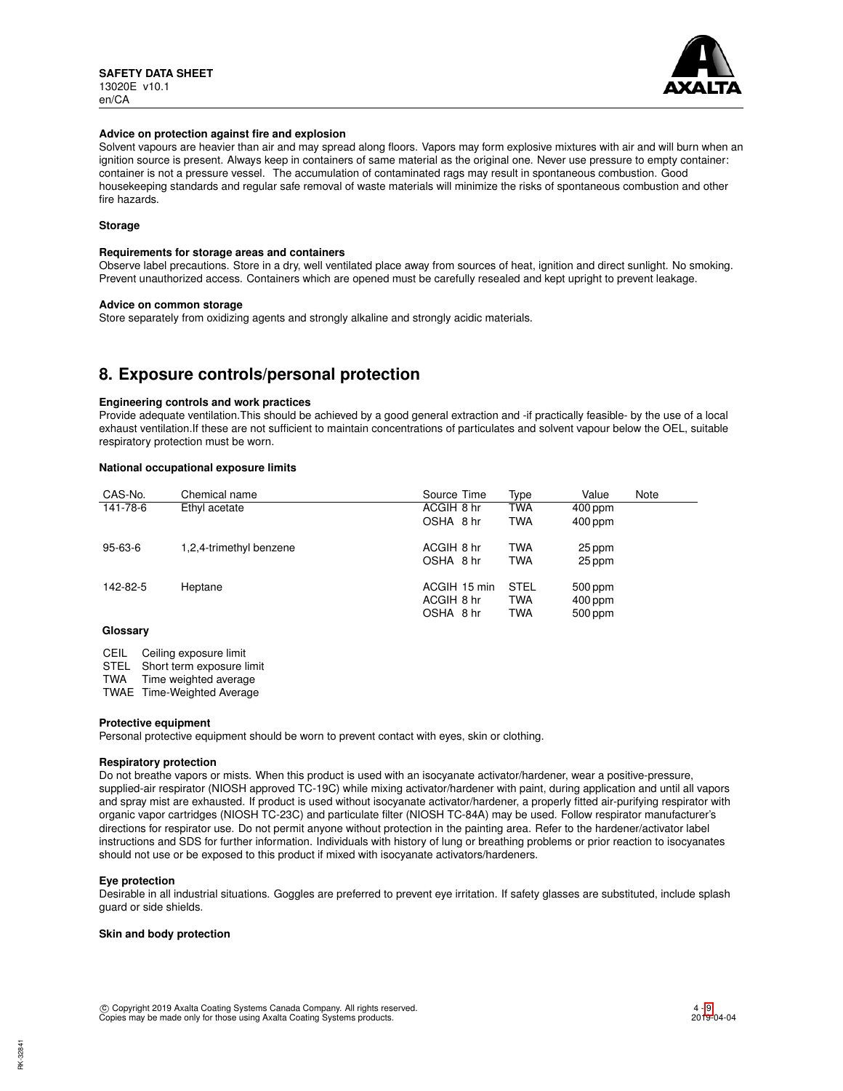

### **Advice on protection against fire and explosion**

Solvent vapours are heavier than air and may spread along floors. Vapors may form explosive mixtures with air and will burn when an ignition source is present. Always keep in containers of same material as the original one. Never use pressure to empty container: container is not a pressure vessel. The accumulation of contaminated rags may result in spontaneous combustion. Good housekeeping standards and regular safe removal of waste materials will minimize the risks of spontaneous combustion and other fire hazards.

## **Storage**

### **Requirements for storage areas and containers**

Observe label precautions. Store in a dry, well ventilated place away from sources of heat, ignition and direct sunlight. No smoking. Prevent unauthorized access. Containers which are opened must be carefully resealed and kept upright to prevent leakage.

### **Advice on common storage**

Store separately from oxidizing agents and strongly alkaline and strongly acidic materials.

# **8. Exposure controls/personal protection**

### **Engineering controls and work practices**

Provide adequate ventilation.This should be achieved by a good general extraction and -if practically feasible- by the use of a local exhaust ventilation.If these are not sufficient to maintain concentrations of particulates and solvent vapour below the OEL, suitable respiratory protection must be worn.

### **National occupational exposure limits**

| CAS-No.                  | Chemical name           | Source Time  | Type        | Value     | Note |
|--------------------------|-------------------------|--------------|-------------|-----------|------|
| 141-78-6                 | Ethyl acetate           | ACGIH 8 hr   | <b>TWA</b>  | $400$ ppm |      |
|                          |                         | OSHA 8 hr    | <b>TWA</b>  | $400$ ppm |      |
| $95 - 63 - 6$            | 1,2,4-trimethyl benzene | ACGIH 8 hr   | <b>TWA</b>  | 25 ppm    |      |
|                          |                         | OSHA 8 hr    | <b>TWA</b>  | 25 ppm    |      |
| 142-82-5                 | Heptane                 | ACGIH 15 min | <b>STEL</b> | 500 ppm   |      |
|                          |                         | ACGIH 8 hr   | <b>TWA</b>  | 400 ppm   |      |
|                          |                         | OSHA 8 hr    | <b>TWA</b>  | 500 ppm   |      |
| $\bigcap_{n=1}^{\infty}$ |                         |              |             |           |      |

### **Glossary**

CEIL Ceiling exposure limit

STEL Short term exposure limit<br>TWA Time weighted average

Time weighted average

TWAE Time-Weighted Average

### **Protective equipment**

Personal protective equipment should be worn to prevent contact with eyes, skin or clothing.

## **Respiratory protection**

Do not breathe vapors or mists. When this product is used with an isocyanate activator/hardener, wear a positive-pressure, supplied-air respirator (NIOSH approved TC-19C) while mixing activator/hardener with paint, during application and until all vapors and spray mist are exhausted. If product is used without isocyanate activator/hardener, a properly fitted air-purifying respirator with organic vapor cartridges (NIOSH TC-23C) and particulate filter (NIOSH TC-84A) may be used. Follow respirator manufacturer's directions for respirator use. Do not permit anyone without protection in the painting area. Refer to the hardener/activator label instructions and SDS for further information. Individuals with history of lung or breathing problems or prior reaction to isocyanates should not use or be exposed to this product if mixed with isocyanate activators/hardeners.

### **Eye protection**

Desirable in all industrial situations. Goggles are preferred to prevent eye irritation. If safety glasses are substituted, include splash guard or side shields.

### **Skin and body protection**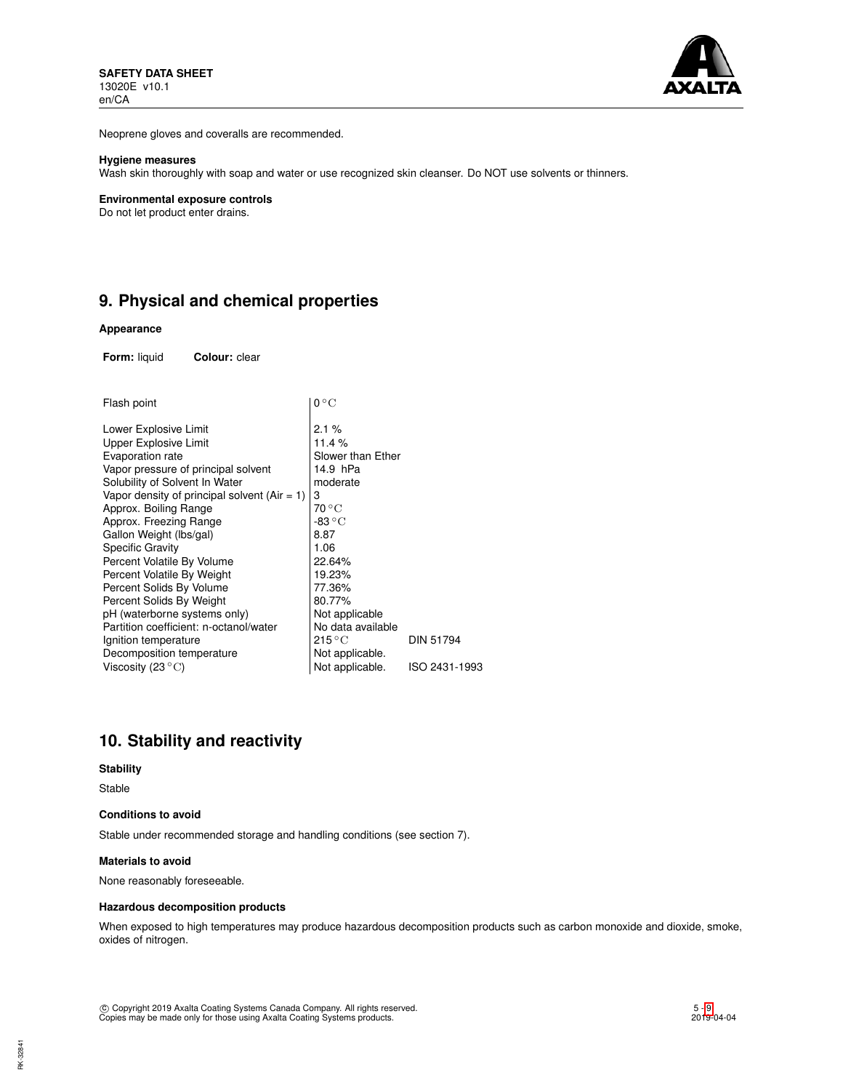

Neoprene gloves and coveralls are recommended.

### **Hygiene measures**

Wash skin thoroughly with soap and water or use recognized skin cleanser. Do NOT use solvents or thinners.

#### **Environmental exposure controls**

Do not let product enter drains.

# **9. Physical and chemical properties**

### **Appearance**

**Form:** liquid **Colour:** clear

| Flash point                                  | $0^{\circ}$ C             |                  |
|----------------------------------------------|---------------------------|------------------|
| Lower Explosive Limit                        | 2.1%                      |                  |
| Upper Explosive Limit                        | 11.4 %                    |                  |
| Evaporation rate                             | Slower than Ether         |                  |
| Vapor pressure of principal solvent          | 14.9 hPa                  |                  |
| Solubility of Solvent In Water               | moderate                  |                  |
| Vapor density of principal solvent (Air = 1) | 3                         |                  |
| Approx. Boiling Range                        | 70 °C                     |                  |
| Approx. Freezing Range                       | -83 $^{\circ}$ C          |                  |
| Gallon Weight (Ibs/gal)                      | 8.87                      |                  |
| Specific Gravity                             | 1.06                      |                  |
| Percent Volatile By Volume                   | 22.64%                    |                  |
| Percent Volatile By Weight                   | 19.23%                    |                  |
| Percent Solids By Volume                     | 77.36%                    |                  |
| Percent Solids By Weight                     | 80.77%                    |                  |
| pH (waterborne systems only)                 | Not applicable            |                  |
| Partition coefficient: n-octanol/water       | No data available         |                  |
| Ignition temperature                         | $215\,^{\circ}\mathrm{C}$ | <b>DIN 51794</b> |
| Decomposition temperature                    | Not applicable.           |                  |
| Viscosity (23 $^{\circ}$ C)                  | Not applicable.           | ISO 2431-1993    |
|                                              |                           |                  |

# **10. Stability and reactivity**

### **Stability**

Stable

### **Conditions to avoid**

Stable under recommended storage and handling conditions (see section 7).

## **Materials to avoid**

None reasonably foreseeable.

## **Hazardous decomposition products**

When exposed to high temperatures may produce hazardous decomposition products such as carbon monoxide and dioxide, smoke, oxides of nitrogen.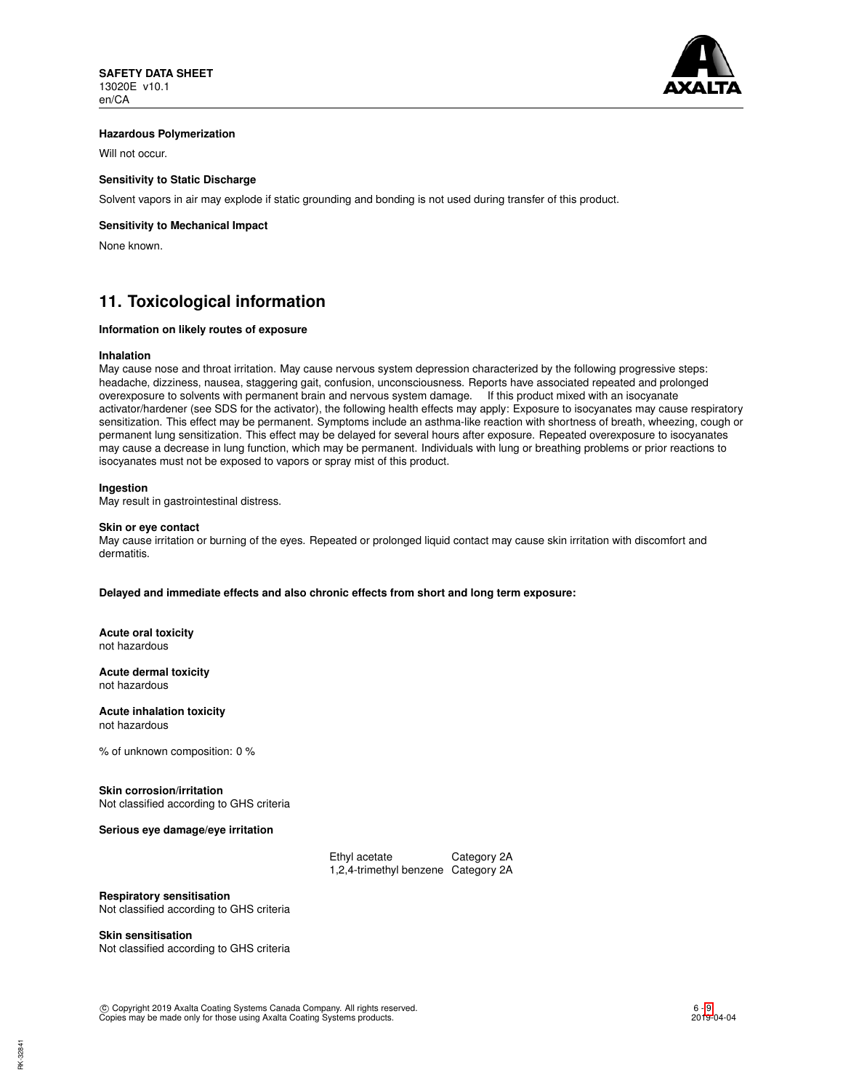

## **Hazardous Polymerization**

Will not occur.

## **Sensitivity to Static Discharge**

Solvent vapors in air may explode if static grounding and bonding is not used during transfer of this product.

## **Sensitivity to Mechanical Impact**

None known.

# **11. Toxicological information**

## **Information on likely routes of exposure**

### **Inhalation**

May cause nose and throat irritation. May cause nervous system depression characterized by the following progressive steps: headache, dizziness, nausea, staggering gait, confusion, unconsciousness. Reports have associated repeated and prolonged overexposure to solvents with permanent brain and nervous system damage. If this product mixed with an isocyanate activator/hardener (see SDS for the activator), the following health effects may apply: Exposure to isocyanates may cause respiratory sensitization. This effect may be permanent. Symptoms include an asthma-like reaction with shortness of breath, wheezing, cough or permanent lung sensitization. This effect may be delayed for several hours after exposure. Repeated overexposure to isocyanates may cause a decrease in lung function, which may be permanent. Individuals with lung or breathing problems or prior reactions to isocyanates must not be exposed to vapors or spray mist of this product.

### **Ingestion**

May result in gastrointestinal distress.

### **Skin or eye contact**

May cause irritation or burning of the eyes. Repeated or prolonged liquid contact may cause skin irritation with discomfort and dermatitis.

**Delayed and immediate effects and also chronic effects from short and long term exposure:**

**Acute oral toxicity** not hazardous

**Acute dermal toxicity** not hazardous

**Acute inhalation toxicity** not hazardous

% of unknown composition: 0 %

### **Skin corrosion/irritation**

Not classified according to GHS criteria

**Serious eye damage/eye irritation**

| Ethyl acetate                       | Category 2A |
|-------------------------------------|-------------|
| 1,2,4-trimethyl benzene Category 2A |             |

**Respiratory sensitisation**

Not classified according to GHS criteria

### **Skin sensitisation**

Not classified according to GHS criteria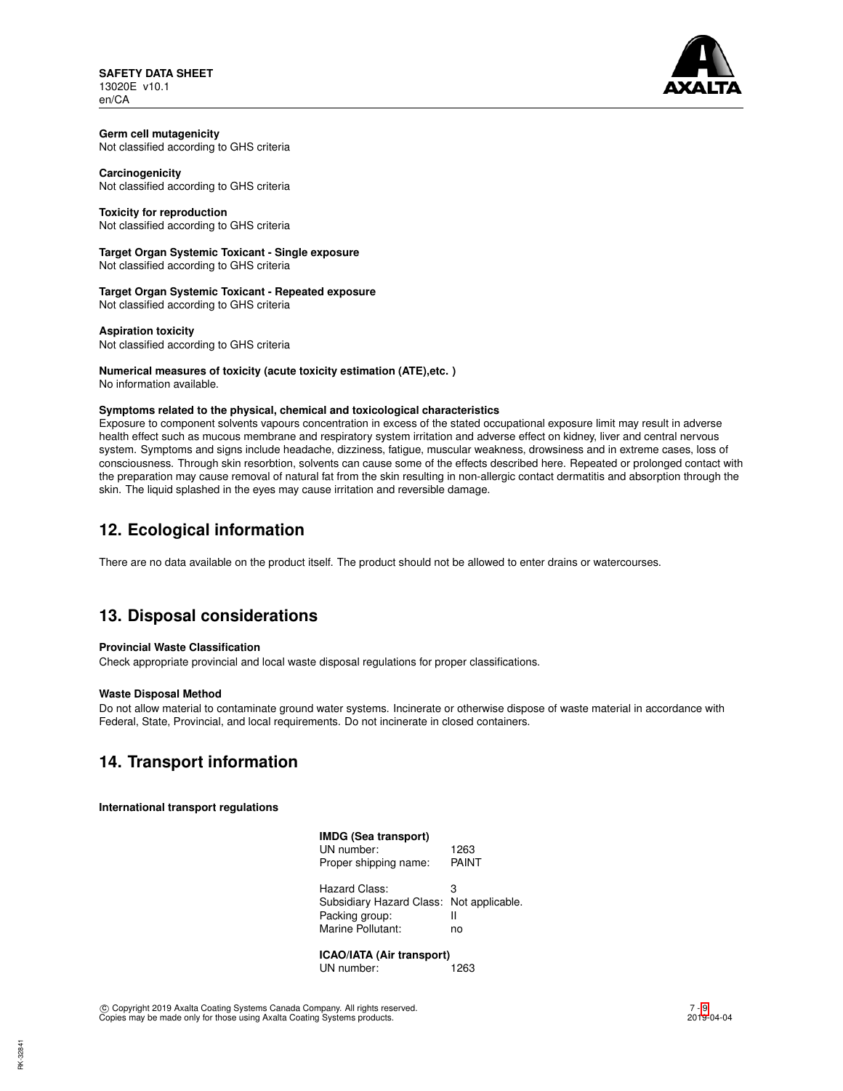**SAFETY DATA SHEET** 13020E v10.1 en/CA



#### **Germ cell mutagenicity** Not classified according to GHS criteria

**Carcinogenicity** Not classified according to GHS criteria

## **Toxicity for reproduction**

Not classified according to GHS criteria

# **Target Organ Systemic Toxicant - Single exposure**

Not classified according to GHS criteria

**Target Organ Systemic Toxicant - Repeated exposure** Not classified according to GHS criteria

**Aspiration toxicity** Not classified according to GHS criteria

#### **Numerical measures of toxicity (acute toxicity estimation (ATE),etc. )** No information available.

## **Symptoms related to the physical, chemical and toxicological characteristics**

Exposure to component solvents vapours concentration in excess of the stated occupational exposure limit may result in adverse health effect such as mucous membrane and respiratory system irritation and adverse effect on kidney, liver and central nervous system. Symptoms and signs include headache, dizziness, fatigue, muscular weakness, drowsiness and in extreme cases, loss of consciousness. Through skin resorbtion, solvents can cause some of the effects described here. Repeated or prolonged contact with the preparation may cause removal of natural fat from the skin resulting in non-allergic contact dermatitis and absorption through the skin. The liquid splashed in the eyes may cause irritation and reversible damage.

# **12. Ecological information**

There are no data available on the product itself. The product should not be allowed to enter drains or watercourses.

# **13. Disposal considerations**

## **Provincial Waste Classification**

Check appropriate provincial and local waste disposal regulations for proper classifications.

## **Waste Disposal Method**

Do not allow material to contaminate ground water systems. Incinerate or otherwise dispose of waste material in accordance with Federal, State, Provincial, and local requirements. Do not incinerate in closed containers.

# **14. Transport information**

## **International transport regulations**

| <b>IMDG (Sea transport)</b><br>UN number:<br>Proper shipping name:               | 1263<br>PAINT                   |  |  |  |
|----------------------------------------------------------------------------------|---------------------------------|--|--|--|
| Hazard Class:<br>Subsidiary Hazard Class:<br>Packing group:<br>Marine Pollutant: | з<br>Not applicable.<br>Ш<br>no |  |  |  |
| <b>ICAO/IATA (Air transport)</b>                                                 |                                 |  |  |  |

UN number: 1263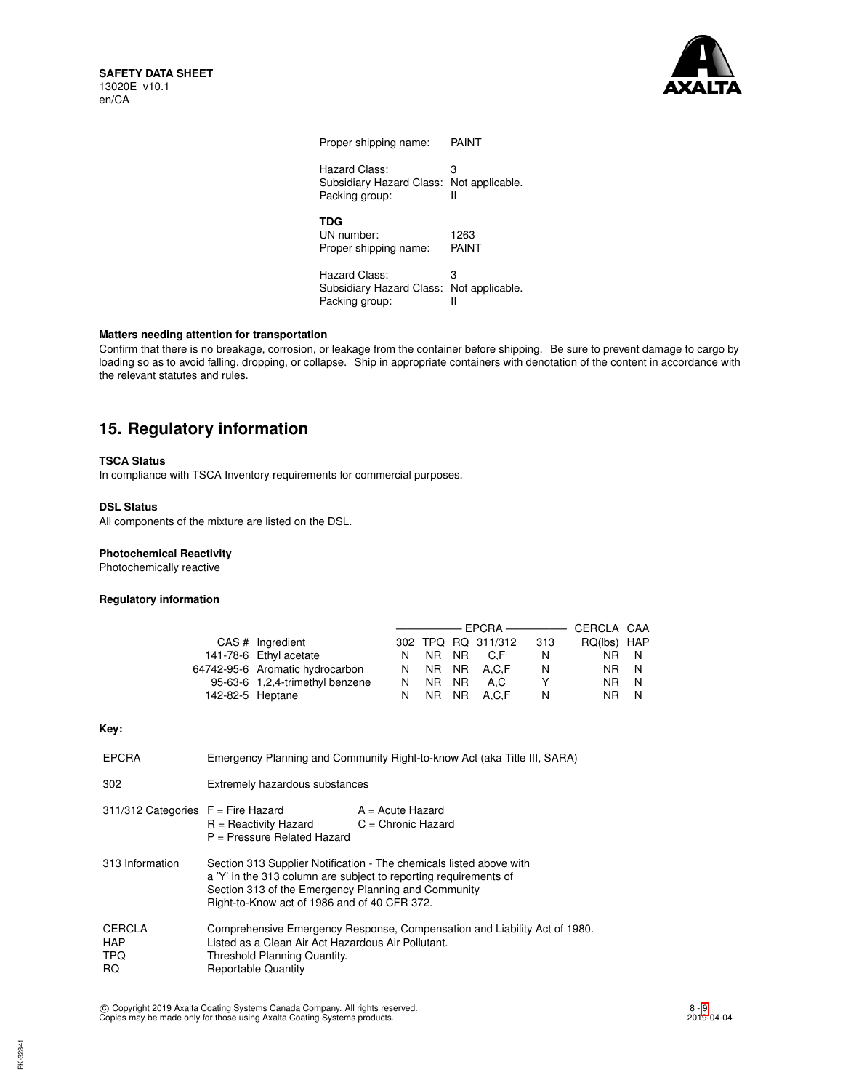

| Proper shipping name:                                                       | PAINT         |
|-----------------------------------------------------------------------------|---------------|
| Hazard Class:<br>Subsidiary Hazard Class: Not applicable.<br>Packing group: | 3<br>Ш        |
| TDG<br>UN number:<br>Proper shipping name:                                  | 1263<br>PAINT |
| Hazard Class:<br>Subsidiary Hazard Class: Not applicable.<br>Packing group: | з             |

## **Matters needing attention for transportation**

Confirm that there is no breakage, corrosion, or leakage from the container before shipping. Be sure to prevent damage to cargo by loading so as to avoid falling, dropping, or collapse. Ship in appropriate containers with denotation of the content in accordance with the relevant statutes and rules.

# **15. Regulatory information**

### **TSCA Status**

In compliance with TSCA Inventory requirements for commercial purposes.

## **DSL Status**

All components of the mixture are listed on the DSL.

### **Photochemical Reactivity**

Photochemically reactive

### **Regulatory information**

|                  |                                 |     |  |                    |     | CERCLA CAA  |     |
|------------------|---------------------------------|-----|--|--------------------|-----|-------------|-----|
|                  | CAS # Ingredient                |     |  | 302 TPQ RQ 311/312 | 313 | RQ(lbs) HAP |     |
|                  | 141-78-6 Ethyl acetate          |     |  | N NR NR C.F        | N   | NR N        |     |
|                  | 64742-95-6 Aromatic hydrocarbon |     |  | N NR NR A.C.F      | N   | NR N        |     |
|                  | 95-63-6 1,2,4-trimethyl benzene |     |  | N NR NR A.C        | Y   | NR I        | - N |
| 142-82-5 Heptane |                                 | N . |  | NR NR A.C.F        | N   | NR I        | N   |

## **Key:**

| <b>EPCRA</b>                                           | Emergency Planning and Community Right-to-know Act (aka Title III, SARA)                                                                                                                                                                       |  |  |  |
|--------------------------------------------------------|------------------------------------------------------------------------------------------------------------------------------------------------------------------------------------------------------------------------------------------------|--|--|--|
| 302                                                    | Extremely hazardous substances                                                                                                                                                                                                                 |  |  |  |
| $311/312$ Categories $F =$ Fire Hazard                 | $A = Acute$ Hazard<br>$R =$ Reactivity Hazard $C =$ Chronic Hazard<br>$P =$ Pressure Related Hazard                                                                                                                                            |  |  |  |
| 313 Information                                        | Section 313 Supplier Notification - The chemicals listed above with<br>a 'Y' in the 313 column are subject to reporting requirements of<br>Section 313 of the Emergency Planning and Community<br>Right-to-Know act of 1986 and of 40 CFR 372. |  |  |  |
| <b>CERCLA</b><br><b>HAP</b><br><b>TPQ</b><br><b>RQ</b> | Comprehensive Emergency Response, Compensation and Liability Act of 1980.<br>Listed as a Clean Air Act Hazardous Air Pollutant.<br>Threshold Planning Quantity.<br><b>Reportable Quantity</b>                                                  |  |  |  |